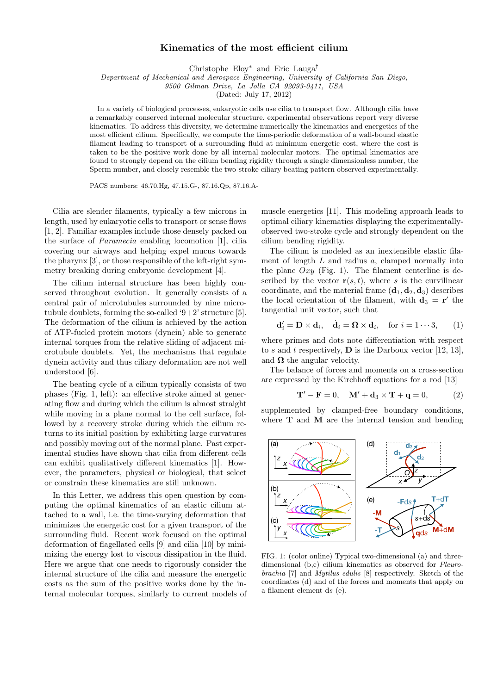## Kinematics of the most efficient cilium

Christophe Eloy<sup>∗</sup> and Eric Lauga†

Department of Mechanical and Aerospace Engineering, University of California San Diego,

9500 Gilman Drive, La Jolla CA 92093-0411, USA

(Dated: July 17, 2012)

In a variety of biological processes, eukaryotic cells use cilia to transport flow. Although cilia have a remarkably conserved internal molecular structure, experimental observations report very diverse kinematics. To address this diversity, we determine numerically the kinematics and energetics of the most efficient cilium. Specifically, we compute the time-periodic deformation of a wall-bound elastic filament leading to transport of a surrounding fluid at minimum energetic cost, where the cost is taken to be the positive work done by all internal molecular motors. The optimal kinematics are found to strongly depend on the cilium bending rigidity through a single dimensionless number, the Sperm number, and closely resemble the two-stroke ciliary beating pattern observed experimentally.

PACS numbers: 46.70.Hg, 47.15.G-, 87.16.Qp, 87.16.A-

Cilia are slender filaments, typically a few microns in length, used by eukaryotic cells to transport or sense flows [1, 2]. Familiar examples include those densely packed on the surface of Paramecia enabling locomotion [1], cilia covering our airways and helping expel mucus towards the pharynx [3], or those responsible of the left-right symmetry breaking during embryonic development [4].

The cilium internal structure has been highly conserved throughout evolution. It generally consists of a central pair of microtubules surrounded by nine microtubule doublets, forming the so-called '9+2' structure [5]. The deformation of the cilium is achieved by the action of ATP-fueled protein motors (dynein) able to generate internal torques from the relative sliding of adjacent microtubule doublets. Yet, the mechanisms that regulate dynein activity and thus ciliary deformation are not well understood [6].

The beating cycle of a cilium typically consists of two phases (Fig. 1, left): an effective stroke aimed at generating flow and during which the cilium is almost straight while moving in a plane normal to the cell surface, followed by a recovery stroke during which the cilium returns to its initial position by exhibiting large curvatures and possibly moving out of the normal plane. Past experimental studies have shown that cilia from different cells can exhibit qualitatively different kinematics [1]. However, the parameters, physical or biological, that select or constrain these kinematics are still unknown.

In this Letter, we address this open question by computing the optimal kinematics of an elastic cilium attached to a wall, i.e. the time-varying deformation that minimizes the energetic cost for a given transport of the surrounding fluid. Recent work focused on the optimal deformation of flagellated cells [9] and cilia [10] by minimizing the energy lost to viscous dissipation in the fluid. Here we argue that one needs to rigorously consider the internal structure of the cilia and measure the energetic costs as the sum of the positive works done by the internal molecular torques, similarly to current models of muscle energetics [11]. This modeling approach leads to optimal ciliary kinematics displaying the experimentallyobserved two-stroke cycle and strongly dependent on the cilium bending rigidity.

The cilium is modeled as an inextensible elastic filament of length  $L$  and radius  $a$ , clamped normally into the plane  $Oxu$  (Fig. 1). The filament centerline is described by the vector  $r(s, t)$ , where s is the curvilinear coordinate, and the material frame  $(\mathbf{d}_1, \mathbf{d}_2, \mathbf{d}_3)$  describes the local orientation of the filament, with  $\mathbf{d}_3 = \mathbf{r}'$  the tangential unit vector, such that

$$
\mathbf{d}'_i = \mathbf{D} \times \mathbf{d}_i, \quad \dot{\mathbf{d}}_i = \mathbf{\Omega} \times \mathbf{d}_i, \quad \text{for } i = 1 \cdots 3,
$$
 (1)

where primes and dots note differentiation with respect to s and t respectively, **D** is the Darboux vector [12, 13], and  $\Omega$  the angular velocity.

The balance of forces and moments on a cross-section are expressed by the Kirchhoff equations for a rod [13]

$$
\mathbf{T}' - \mathbf{F} = 0, \quad \mathbf{M}' + \mathbf{d}_3 \times \mathbf{T} + \mathbf{q} = 0, \tag{2}
$$

supplemented by clamped-free boundary conditions, where  $T$  and  $M$  are the internal tension and bending



FIG. 1: (color online) Typical two-dimensional (a) and threedimensional (b,c) cilium kinematics as observed for Pleurobrachia [7] and Mytilus edulis [8] respectively. Sketch of the coordinates (d) and of the forces and moments that apply on a filament element ds (e).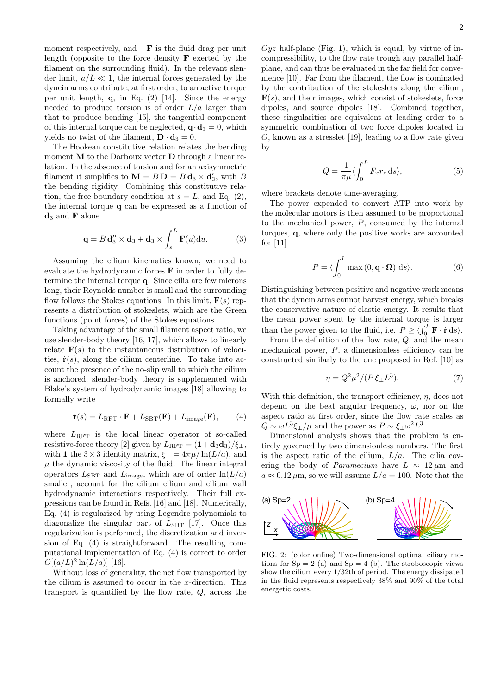moment respectively, and  $-F$  is the fluid drag per unit length (opposite to the force density  $\bf{F}$  exerted by the filament on the surrounding fluid). In the relevant slender limit,  $a/L \ll 1$ , the internal forces generated by the dynein arms contribute, at first order, to an active torque per unit length,  $q$ , in Eq. (2) [14]. Since the energy needed to produce torsion is of order  $L/a$  larger than that to produce bending [15], the tangential component of this internal torque can be neglected,  $\mathbf{q} \cdot \mathbf{d}_3 = 0$ , which yields no twist of the filament,  $\mathbf{D} \cdot \mathbf{d}_3 = 0$ .

The Hookean constitutive relation relates the bending moment **M** to the Darboux vector **D** through a linear relation. In the absence of torsion and for an axisymmetric filament it simplifies to  $\mathbf{M} = B \mathbf{D} = B \mathbf{d}_3 \times \mathbf{d}'_3$ , with B the bending rigidity. Combining this constitutive relation, the free boundary condition at  $s = L$ , and Eq. (2), the internal torque q can be expressed as a function of  $\mathbf{d}_3$  and **F** alone

$$
\mathbf{q} = B \mathbf{d}_3'' \times \mathbf{d}_3 + \mathbf{d}_3 \times \int_s^L \mathbf{F}(u) \mathrm{d}u. \tag{3}
$$

Assuming the cilium kinematics known, we need to evaluate the hydrodynamic forces F in order to fully determine the internal torque q. Since cilia are few microns long, their Reynolds number is small and the surrounding flow follows the Stokes equations. In this limit,  $F(s)$  represents a distribution of stokeslets, which are the Green functions (point forces) of the Stokes equations.

Taking advantage of the small filament aspect ratio, we use slender-body theory [16, 17], which allows to linearly relate  $F(s)$  to the instantaneous distribution of velocities,  $\dot{\mathbf{r}}(s)$ , along the cilium centerline. To take into account the presence of the no-slip wall to which the cilium is anchored, slender-body theory is supplemented with Blake's system of hydrodynamic images [18] allowing to formally write

$$
\dot{\mathbf{r}}(s) = L_{\text{RFT}} \cdot \mathbf{F} + L_{\text{SBT}}(\mathbf{F}) + L_{\text{image}}(\mathbf{F}), \quad (4)
$$

where  $L_{\text{RFT}}$  is the local linear operator of so-called resistive-force theory [2] given by  $L_{\text{RFT}} = (1+\mathbf{d}_3\mathbf{d}_3)/\xi_{\perp}$ , with 1 the  $3 \times 3$  identity matrix,  $\xi_{\perp} = 4\pi \mu / \ln(L/a)$ , and  $\mu$  the dynamic viscosity of the fluid. The linear integral operators  $L_{\text{SBT}}$  and  $L_{\text{image}}$ , which are of order  $\ln(L/a)$ smaller, account for the cilium–cilium and cilium–wall hydrodynamic interactions respectively. Their full expressions can be found in Refs. [16] and [18]. Numerically, Eq. (4) is regularized by using Legendre polynomials to diagonalize the singular part of  $L_{\text{SBT}}$  [17]. Once this regularization is performed, the discretization and inversion of Eq. (4) is straightforward. The resulting computational implementation of Eq. (4) is correct to order  $O[(a/L)^2 \ln(L/a)]$  [16].

Without loss of generality, the net flow transported by the cilium is assumed to occur in the  $x$ -direction. This transport is quantified by the flow rate, Q, across the

 $Oyz$  half-plane (Fig. 1), which is equal, by virtue of incompressibility, to the flow rate trough any parallel halfplane, and can thus be evaluated in the far field for convenience [10]. Far from the filament, the flow is dominated by the contribution of the stokeslets along the cilium,  $\mathbf{F}(s)$ , and their images, which consist of stokeslets, force dipoles, and source dipoles [18]. Combined together, these singularities are equivalent at leading order to a symmetric combination of two force dipoles located in  $O$ , known as a stresslet [19], leading to a flow rate given by

$$
Q = \frac{1}{\pi \mu} \langle \int_0^L F_x r_z \, \mathrm{d}s \rangle,\tag{5}
$$

where brackets denote time-averaging.

The power expended to convert ATP into work by the molecular motors is then assumed to be proportional to the mechanical power,  $P$ , consumed by the internal torques, q, where only the positive works are accounted for [11]

$$
P = \langle \int_0^L \max(0, \mathbf{q} \cdot \mathbf{\Omega}) \, \mathrm{d}s \rangle. \tag{6}
$$

Distinguishing between positive and negative work means that the dynein arms cannot harvest energy, which breaks the conservative nature of elastic energy. It results that the mean power spent by the internal torque is larger than the power given to the fluid, i.e.  $P \ge \langle \int_0^L \mathbf{F} \cdot \dot{\mathbf{r}} \, ds \rangle$ .

From the definition of the flow rate, Q, and the mean mechanical power,  $P$ , a dimensionless efficiency can be constructed similarly to the one proposed in Ref. [10] as

$$
\eta = Q^2 \mu^2 / (P \xi_\perp L^3). \tag{7}
$$

With this definition, the transport efficiency,  $\eta$ , does not depend on the beat angular frequency,  $\omega$ , nor on the aspect ratio at first order, since the flow rate scales as  $Q \sim \omega L^3 \xi_{\perp}/\mu$  and the power as  $P \sim \xi_{\perp} \omega^2 L^3$ .

Dimensional analysis shows that the problem is entirely governed by two dimensionless numbers. The first is the aspect ratio of the cilium,  $L/a$ . The cilia covering the body of *Paramecium* have  $L \approx 12 \mu m$  and  $a \approx 0.12 \,\mu\mathrm{m}$ , so we will assume  $L/a = 100$ . Note that the



FIG. 2: (color online) Two-dimensional optimal ciliary motions for  $Sp = 2$  (a) and  $Sp = 4$  (b). The stroboscopic views show the cilium every 1/32th of period. The energy dissipated in the fluid represents respectively 38% and 90% of the total energetic costs.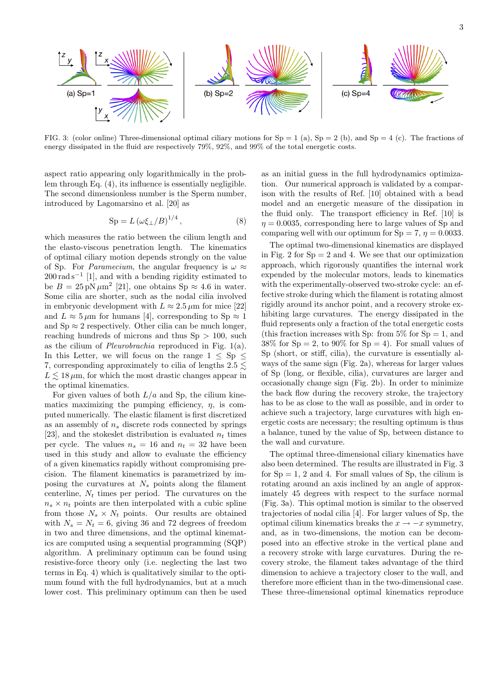

FIG. 3: (color online) Three-dimensional optimal ciliary motions for  $Sp = 1$  (a),  $Sp = 2$  (b), and  $Sp = 4$  (c). The fractions of energy dissipated in the fluid are respectively 79%, 92%, and 99% of the total energetic costs.

aspect ratio appearing only logarithmically in the problem through Eq. (4), its influence is essentially negligible. The second dimensionless number is the Sperm number, introduced by Lagomarsino et al. [20] as

$$
Sp = L(\omega \xi_{\perp}/B)^{1/4},\tag{8}
$$

which measures the ratio between the cilium length and the elasto-viscous penetration length. The kinematics of optimal ciliary motion depends strongly on the value of Sp. For *Paramecium*, the angular frequency is  $\omega \approx$  $200 \,\mathrm{rad}\,\mathrm{s}^{-1}$  [1], and with a bending rigidity estimated to be  $B = 25 \text{ pN } \mu \text{m}^2$  [21], one obtains Sp  $\approx 4.6$  in water. Some cilia are shorter, such as the nodal cilia involved in embryonic development with  $L \approx 2.5 \,\mu \text{m}$  for mice [22] and  $L \approx 5 \,\mu \text{m}$  for humans [4], corresponding to Sp  $\approx 1$ and  $\text{Sp} \approx 2$  respectively. Other cilia can be much longer, reaching hundreds of microns and thus  $Sp > 100$ , such as the cilium of Pleurobrachia reproduced in Fig. 1(a). In this Letter, we will focus on the range  $1 \le Sp \le$ 7, corresponding approximately to cilia of lengths  $2.5 \leq$  $L \leq 18 \,\mu\mathrm{m}$ , for which the most drastic changes appear in the optimal kinematics.

For given values of both  $L/a$  and Sp, the cilium kinematics maximizing the pumping efficiency,  $\eta$ , is computed numerically. The elastic filament is first discretized as an assembly of  $n<sub>s</sub>$  discrete rods connected by springs [23], and the stokeslet distribution is evaluated  $n_t$  times per cycle. The values  $n_s = 16$  and  $n_t = 32$  have been used in this study and allow to evaluate the efficiency of a given kinematics rapidly without compromising precision. The filament kinematics is parametrized by imposing the curvatures at  $N_s$  points along the filament centerline,  $N_t$  times per period. The curvatures on the  $n_s \times n_t$  points are then interpolated with a cubic spline from those  $N_s \times N_t$  points. Our results are obtained with  $N_s = N_t = 6$ , giving 36 and 72 degrees of freedom in two and three dimensions, and the optimal kinematics are computed using a sequential programming (SQP) algorithm. A preliminary optimum can be found using resistive-force theory only (i.e. neglecting the last two terms in Eq. 4) which is qualitatively similar to the optimum found with the full hydrodynamics, but at a much lower cost. This preliminary optimum can then be used

as an initial guess in the full hydrodynamics optimization. Our numerical approach is validated by a comparison with the results of Ref. [10] obtained with a bead model and an energetic measure of the dissipation in the fluid only. The transport efficiency in Ref. [10] is  $\eta = 0.0035$ , corresponding here to large values of Sp and comparing well with our optimum for  $Sp = 7$ ,  $\eta = 0.0033$ .

The optimal two-dimensional kinematics are displayed in Fig. 2 for  $Sp = 2$  and 4. We see that our optimization approach, which rigorously quantifies the internal work expended by the molecular motors, leads to kinematics with the experimentally-observed two-stroke cycle: an effective stroke during which the filament is rotating almost rigidly around its anchor point, and a recovery stroke exhibiting large curvatures. The energy dissipated in the fluid represents only a fraction of the total energetic costs (this fraction increases with Sp: from  $5\%$  for Sp = 1, and  $38\%$  for Sp = 2, to 90% for Sp = 4). For small values of Sp (short, or stiff, cilia), the curvature is essentially always of the same sign (Fig. 2a), whereas for larger values of Sp (long, or flexible, cilia), curvatures are larger and occasionally change sign (Fig. 2b). In order to minimize the back flow during the recovery stroke, the trajectory has to be as close to the wall as possible, and in order to achieve such a trajectory, large curvatures with high energetic costs are necessary; the resulting optimum is thus a balance, tuned by the value of Sp, between distance to the wall and curvature.

The optimal three-dimensional ciliary kinematics have also been determined. The results are illustrated in Fig. 3 for  $Sp = 1, 2$  and 4. For small values of  $Sp$ , the cilium is rotating around an axis inclined by an angle of approximately 45 degrees with respect to the surface normal (Fig. 3a). This optimal motion is similar to the observed trajectories of nodal cilia [4]. For larger values of Sp, the optimal cilium kinematics breaks the  $x \rightarrow -x$  symmetry, and, as in two-dimensions, the motion can be decomposed into an effective stroke in the vertical plane and a recovery stroke with large curvatures. During the recovery stroke, the filament takes advantage of the third dimension to achieve a trajectory closer to the wall, and therefore more efficient than in the two-dimensional case. These three-dimensional optimal kinematics reproduce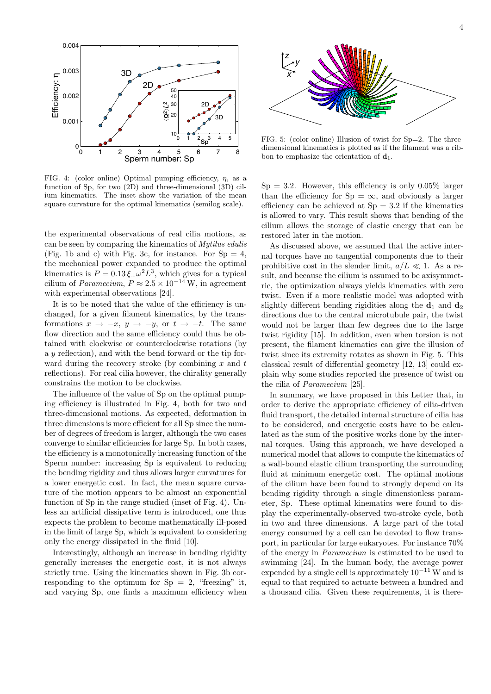

FIG. 4: (color online) Optimal pumping efficiency,  $n$ , as a function of Sp, for two (2D) and three-dimensional (3D) cilium kinematics. The inset show the variation of the mean square curvature for the optimal kinematics (semilog scale).

the experimental observations of real cilia motions, as can be seen by comparing the kinematics of Mytilus edulis (Fig. 1b and c) with Fig. 3c, for instance. For  $Sp = 4$ , the mechanical power expanded to produce the optimal kinematics is  $P = 0.13 \xi_{\perp} \omega^2 L^3$ , which gives for a typical cilium of *Paramecium*,  $P \approx 2.5 \times 10^{-14}$  W, in agreement with experimental observations [24].

It is to be noted that the value of the efficiency is unchanged, for a given filament kinematics, by the transformations  $x \to -x$ ,  $y \to -y$ , or  $t \to -t$ . The same flow direction and the same efficiency could thus be obtained with clockwise or counterclockwise rotations (by a y reflection), and with the bend forward or the tip forward during the recovery stroke (by combining  $x$  and  $t$ ) reflections). For real cilia however, the chirality generally constrains the motion to be clockwise.

The influence of the value of Sp on the optimal pumping efficiency is illustrated in Fig. 4, both for two and three-dimensional motions. As expected, deformation in three dimensions is more efficient for all Sp since the number of degrees of freedom is larger, although the two cases converge to similar efficiencies for large Sp. In both cases, the efficiency is a monotonically increasing function of the Sperm number: increasing Sp is equivalent to reducing the bending rigidity and thus allows larger curvatures for a lower energetic cost. In fact, the mean square curvature of the motion appears to be almost an exponential function of Sp in the range studied (inset of Fig. 4). Unless an artificial dissipative term is introduced, one thus expects the problem to become mathematically ill-posed in the limit of large Sp, which is equivalent to considering only the energy dissipated in the fluid [10].

Interestingly, although an increase in bending rigidity generally increases the energetic cost, it is not always strictly true. Using the kinematics shown in Fig. 3b corresponding to the optimum for  $Sp = 2$ , "freezing" it, and varying Sp, one finds a maximum efficiency when



FIG. 5: (color online) Illusion of twist for  $Sp=2$ . The threedimensional kinematics is plotted as if the filament was a ribbon to emphasize the orientation of  $\mathbf{d}_1$ .

 $Sp = 3.2$ . However, this efficiency is only 0.05% larger than the efficiency for  $Sp = \infty$ , and obviously a larger efficiency can be achieved at  $Sn = 3.2$  if the kinematics is allowed to vary. This result shows that bending of the cilium allows the storage of elastic energy that can be restored later in the motion.

As discussed above, we assumed that the active internal torques have no tangential components due to their prohibitive cost in the slender limit,  $a/L \ll 1$ . As a result, and because the cilium is assumed to be axisymmetric, the optimization always yields kinematics with zero twist. Even if a more realistic model was adopted with slightly different bending rigidities along the  $\mathbf{d}_1$  and  $\mathbf{d}_2$ directions due to the central microtubule pair, the twist would not be larger than few degrees due to the large twist rigidity [15]. In addition, even when torsion is not present, the filament kinematics can give the illusion of twist since its extremity rotates as shown in Fig. 5. This classical result of differential geometry [12, 13] could explain why some studies reported the presence of twist on the cilia of Paramecium [25].

In summary, we have proposed in this Letter that, in order to derive the appropriate efficiency of cilia-driven fluid transport, the detailed internal structure of cilia has to be considered, and energetic costs have to be calculated as the sum of the positive works done by the internal torques. Using this approach, we have developed a numerical model that allows to compute the kinematics of a wall-bound elastic cilium transporting the surrounding fluid at minimum energetic cost. The optimal motions of the cilium have been found to strongly depend on its bending rigidity through a single dimensionless parameter, Sp. These optimal kinematics were found to display the experimentally-observed two-stroke cycle, both in two and three dimensions. A large part of the total energy consumed by a cell can be devoted to flow transport, in particular for large eukaryotes. For instance 70% of the energy in Paramecium is estimated to be used to swimming [24]. In the human body, the average power expended by a single cell is approximately  $10^{-11}$  W and is equal to that required to actuate between a hundred and a thousand cilia. Given these requirements, it is there